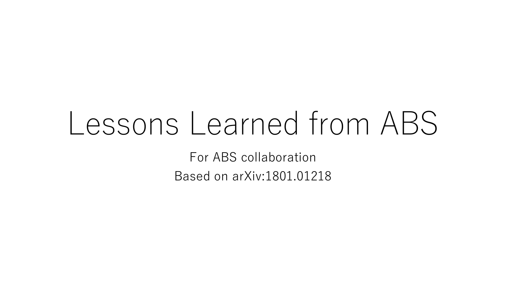# Lessons Learned from ABS

For ABS collaboration Based on arXiv:1801.01218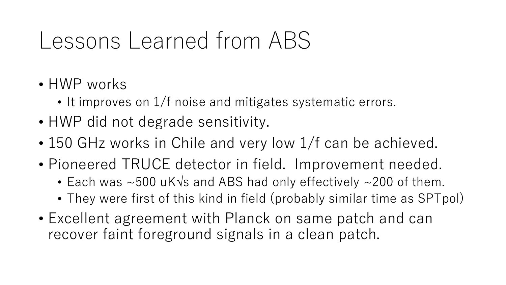### Lessons Learned from ABS

- HWP works
	- It improves on 1/f noise and mitigates systematic errors.
- HWP did not degrade sensitivity.
- 150 GHz works in Chile and very low 1/f can be achieved.
- Pioneered TRUCE detector in field. Improvement needed.
	- Each was  $\sim$  500 uK $\sqrt{s}$  and ABS had only effectively  $\sim$  200 of them.
	- They were first of this kind in field (probably similar time as SPTpol)
- Excellent agreement with Planck on same patch and can recover faint foreground signals in a clean patch.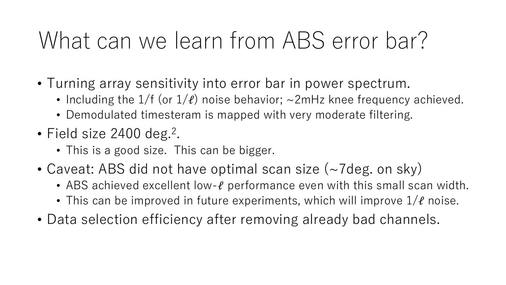### What can we learn from ABS error bar?

- Turning array sensitivity into error bar in power spectrum.
	- Including the  $1/f$  (or  $1/\ell$ ) noise behavior;  $\sim$ 2mHz knee frequency achieved.
	- Demodulated timesteram is mapped with very moderate filtering.
- Field size 2400 deg.<sup>2</sup> .
	- This is a good size. This can be bigger.
- Caveat: ABS did not have optimal scan size (~7deg. on sky)
	- ABS achieved excellent low- $\ell$  performance even with this small scan width.
	- This can be improved in future experiments, which will improve  $1/\ell$  noise.
- Data selection efficiency after removing already bad channels.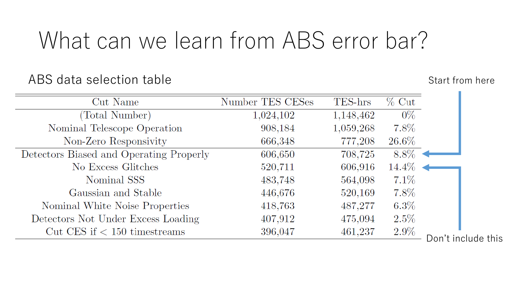### What can we learn from ABS error bar?

#### ABS data selection table Start from here Start from here

| Cut Name                                | Number TES CESes | TES-hrs   | $\%$ Cut |                    |
|-----------------------------------------|------------------|-----------|----------|--------------------|
| (Total Number)                          | 1,024,102        | 1,148,462 | $0\%$    |                    |
| Nominal Telescope Operation             | 908,184          | 1,059,268 | $7.8\%$  |                    |
| Non-Zero Responsivity                   | 666,348          | 777,208   | $26.6\%$ |                    |
| Detectors Biased and Operating Properly | 606,650          | 708,725   | $8.8\%$  |                    |
| No Excess Glitches                      | 520,711          | 606,916   | $14.4\%$ |                    |
| Nominal SSS                             | 483,748          | 564,098   | $7.1\%$  |                    |
| Gaussian and Stable                     | 446,676          | 520,169   | $7.8\%$  |                    |
| Nominal White Noise Properties          | 418,763          | 487,277   | $6.3\%$  |                    |
| Detectors Not Under Excess Loading      | 407,912          | 475,094   | $2.5\%$  |                    |
| Cut CES if $<$ 150 timestreams          | 396,047          | 461,237   | $2.9\%$  |                    |
|                                         |                  |           |          | Don't include this |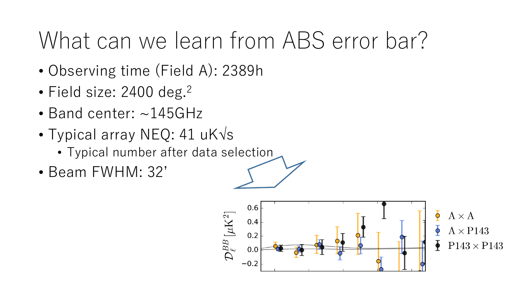### What can we learn from ABS error bar?

- Observing time (Field A): 2389h
- Field size: 2400 deg.<sup>2</sup>
- Band center: ~145GHz
- Typical array NEQ: 41  $uK\sqrt{s}$ 
	- Typical number after data selection
- Beam FWHM: 32'